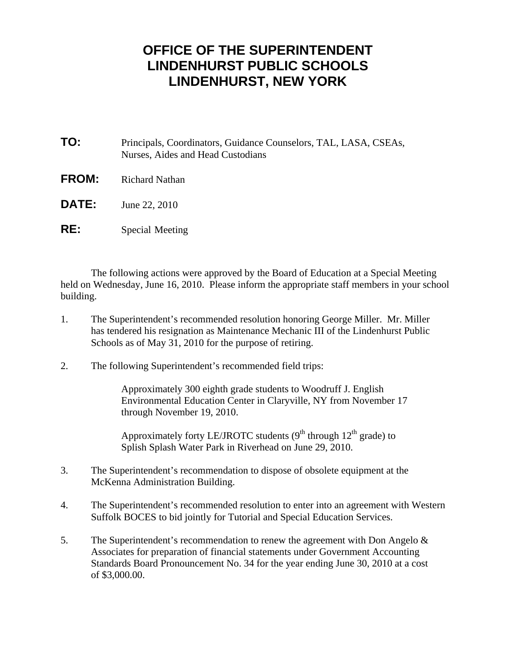## **OFFICE OF THE SUPERINTENDENT LINDENHURST PUBLIC SCHOOLS LINDENHURST, NEW YORK**

- **TO:** Principals, Coordinators, Guidance Counselors, TAL, LASA, CSEAs, Nurses, Aides and Head Custodians
- **FROM:** Richard Nathan
- **DATE:** June 22, 2010
- **RE:** Special Meeting

 The following actions were approved by the Board of Education at a Special Meeting held on Wednesday, June 16, 2010. Please inform the appropriate staff members in your school building.

- 1. The Superintendent's recommended resolution honoring George Miller. Mr. Miller has tendered his resignation as Maintenance Mechanic III of the Lindenhurst Public Schools as of May 31, 2010 for the purpose of retiring.
- 2. The following Superintendent's recommended field trips:

 Approximately 300 eighth grade students to Woodruff J. English Environmental Education Center in Claryville, NY from November 17 through November 19, 2010.

Approximately forty LE/JROTC students  $(9<sup>th</sup>$  through  $12<sup>th</sup>$  grade) to Splish Splash Water Park in Riverhead on June 29, 2010.

- 3. The Superintendent's recommendation to dispose of obsolete equipment at the McKenna Administration Building.
- 4. The Superintendent's recommended resolution to enter into an agreement with Western Suffolk BOCES to bid jointly for Tutorial and Special Education Services.
- 5. The Superintendent's recommendation to renew the agreement with Don Angelo & Associates for preparation of financial statements under Government Accounting Standards Board Pronouncement No. 34 for the year ending June 30, 2010 at a cost of \$3,000.00.